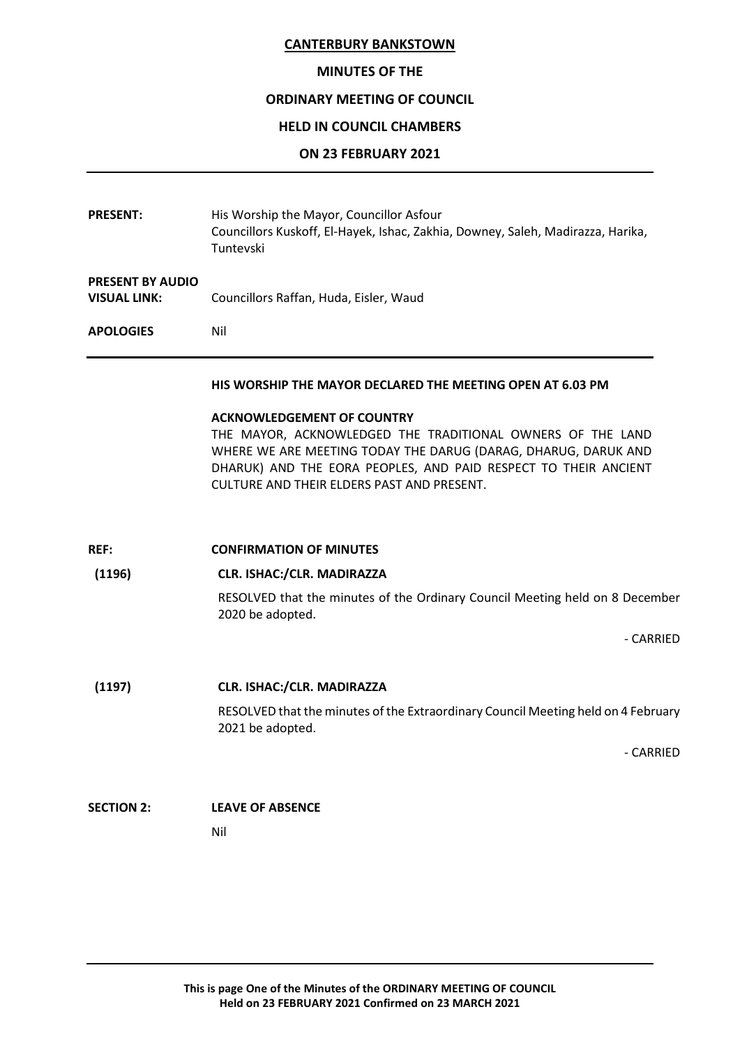#### **MINUTES OF THE**

# **ORDINARY MEETING OF COUNCIL**

#### **HELD IN COUNCIL CHAMBERS**

#### **ON 23 FEBRUARY 2021**

| <b>PRESENT:</b>                                | His Worship the Mayor, Councillor Asfour<br>Councillors Kuskoff, El-Hayek, Ishac, Zakhia, Downey, Saleh, Madirazza, Harika,<br>Tuntevski                                                                                                                                           |
|------------------------------------------------|------------------------------------------------------------------------------------------------------------------------------------------------------------------------------------------------------------------------------------------------------------------------------------|
| <b>PRESENT BY AUDIO</b><br><b>VISUAL LINK:</b> | Councillors Raffan, Huda, Eisler, Waud                                                                                                                                                                                                                                             |
| <b>APOLOGIES</b>                               | Nil                                                                                                                                                                                                                                                                                |
|                                                | HIS WORSHIP THE MAYOR DECLARED THE MEETING OPEN AT 6.03 PM                                                                                                                                                                                                                         |
|                                                | <b>ACKNOWLEDGEMENT OF COUNTRY</b><br>THE MAYOR, ACKNOWLEDGED THE TRADITIONAL OWNERS OF THE LAND<br>WHERE WE ARE MEETING TODAY THE DARUG (DARAG, DHARUG, DARUK AND<br>DHARUK) AND THE EORA PEOPLES, AND PAID RESPECT TO THEIR ANCIENT<br>CULTURE AND THEIR ELDERS PAST AND PRESENT. |
| REF:                                           | <b>CONFIRMATION OF MINUTES</b>                                                                                                                                                                                                                                                     |
| (1196)                                         | CLR. ISHAC:/CLR. MADIRAZZA                                                                                                                                                                                                                                                         |
|                                                | RESOLVED that the minutes of the Ordinary Council Meeting held on 8 December<br>2020 be adopted.                                                                                                                                                                                   |
|                                                | - CARRIED                                                                                                                                                                                                                                                                          |
| (1197)                                         | CLR. ISHAC:/CLR. MADIRAZZA                                                                                                                                                                                                                                                         |
|                                                | RESOLVED that the minutes of the Extraordinary Council Meeting held on 4 February<br>2021 be adopted.                                                                                                                                                                              |
|                                                | - CARRIED                                                                                                                                                                                                                                                                          |
| <b>SECTION 2:</b>                              | <b>LEAVE OF ABSENCE</b>                                                                                                                                                                                                                                                            |
|                                                | Nil                                                                                                                                                                                                                                                                                |
|                                                |                                                                                                                                                                                                                                                                                    |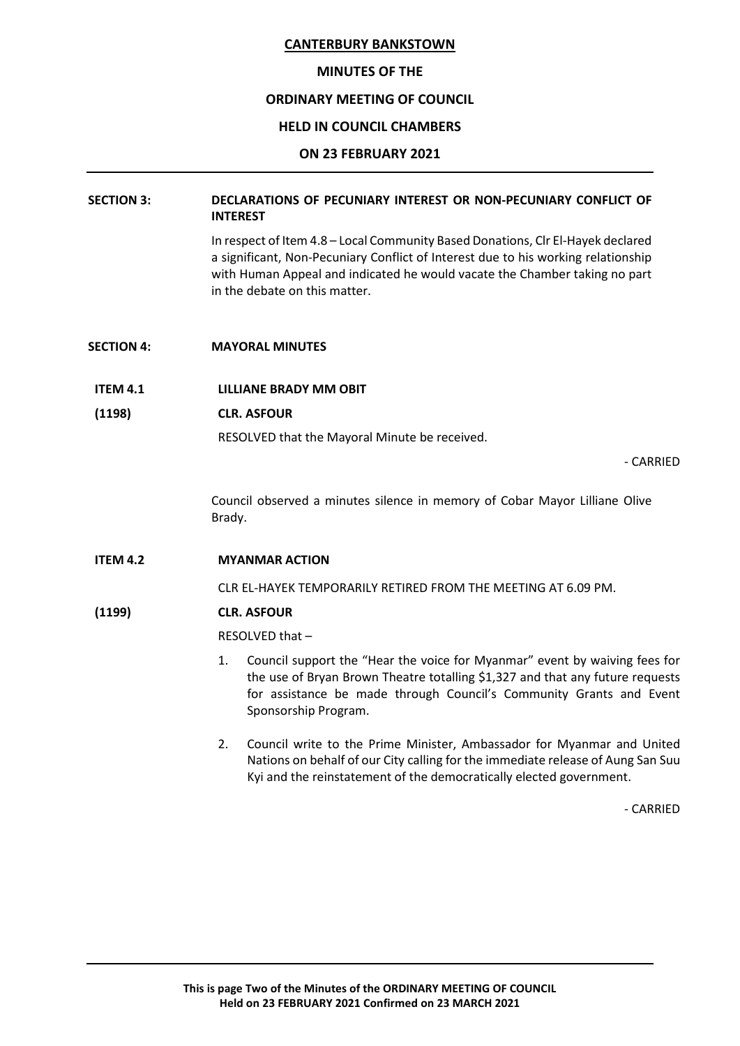#### **MINUTES OF THE**

## **ORDINARY MEETING OF COUNCIL**

## **HELD IN COUNCIL CHAMBERS**

#### **ON 23 FEBRUARY 2021**

# **SECTION 3: DECLARATIONS OF PECUNIARY INTEREST OR NON-PECUNIARY CONFLICT OF INTEREST**

In respect of Item 4.8 – Local Community Based Donations, Clr El-Hayek declared a significant, Non-Pecuniary Conflict of Interest due to his working relationship with Human Appeal and indicated he would vacate the Chamber taking no part in the debate on this matter.

- **SECTION 4: MAYORAL MINUTES**
- **ITEM 4.1 LILLIANE BRADY MM OBIT**
- **(1198) CLR. ASFOUR**

RESOLVED that the Mayoral Minute be received.

- CARRIED

Council observed a minutes silence in memory of Cobar Mayor Lilliane Olive Brady.

## **ITEM 4.2 MYANMAR ACTION**

CLR EL-HAYEK TEMPORARILY RETIRED FROM THE MEETING AT 6.09 PM.

## **(1199) CLR. ASFOUR**

RESOLVED that –

- 1. Council support the "Hear the voice for Myanmar" event by waiving fees for the use of Bryan Brown Theatre totalling \$1,327 and that any future requests for assistance be made through Council's Community Grants and Event Sponsorship Program.
- 2. Council write to the Prime Minister, Ambassador for Myanmar and United Nations on behalf of our City calling for the immediate release of Aung San Suu Kyi and the reinstatement of the democratically elected government.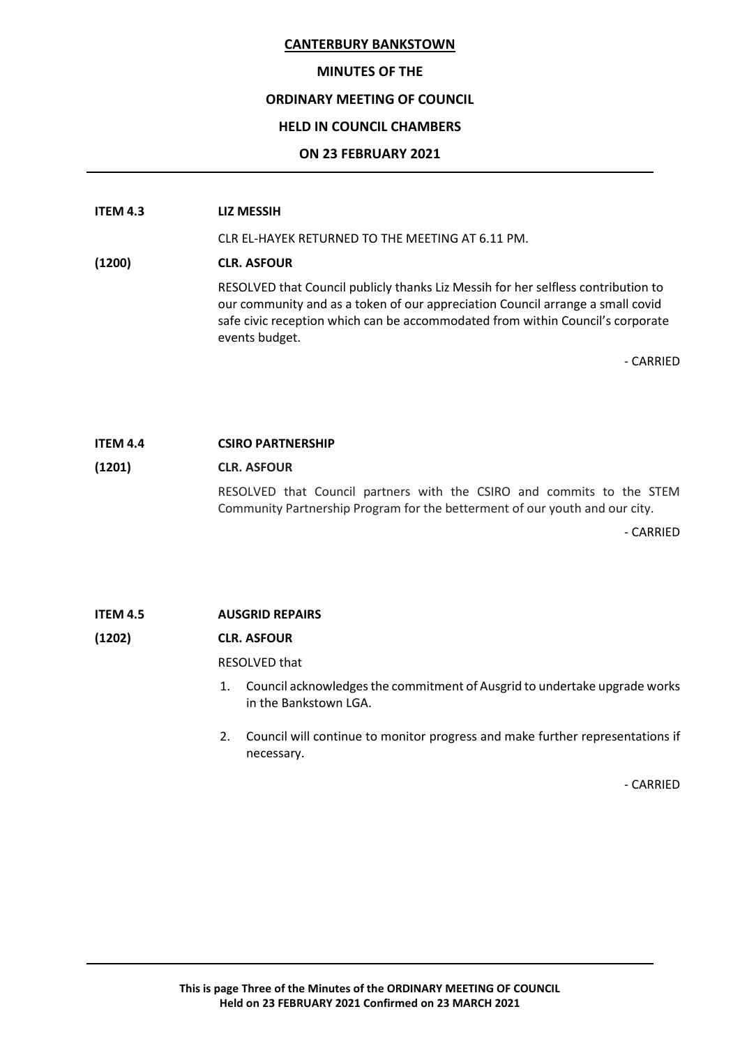# **MINUTES OF THE**

# **ORDINARY MEETING OF COUNCIL**

# **HELD IN COUNCIL CHAMBERS**

# **ON 23 FEBRUARY 2021**

## **ITEM 4.3 LIZ MESSIH**

CLR EL-HAYEK RETURNED TO THE MEETING AT 6.11 PM.

# **(1200) CLR. ASFOUR**

RESOLVED that Council publicly thanks Liz Messih for her selfless contribution to our community and as a token of our appreciation Council arrange a small covid safe civic reception which can be accommodated from within Council's corporate events budget.

- CARRIED

# **ITEM 4.4 CSIRO PARTNERSHIP**

# **(1201) CLR. ASFOUR** RESOLVED that Council partners with the CSIRO and commits to the STEM Community Partnership Program for the betterment of our youth and our city.

- CARRIED

# **ITEM 4.5 AUSGRID REPAIRS**

# **(1202) CLR. ASFOUR**

RESOLVED that

- 1. Council acknowledges the commitment of Ausgrid to undertake upgrade works in the Bankstown LGA.
- 2. Council will continue to monitor progress and make further representations if necessary.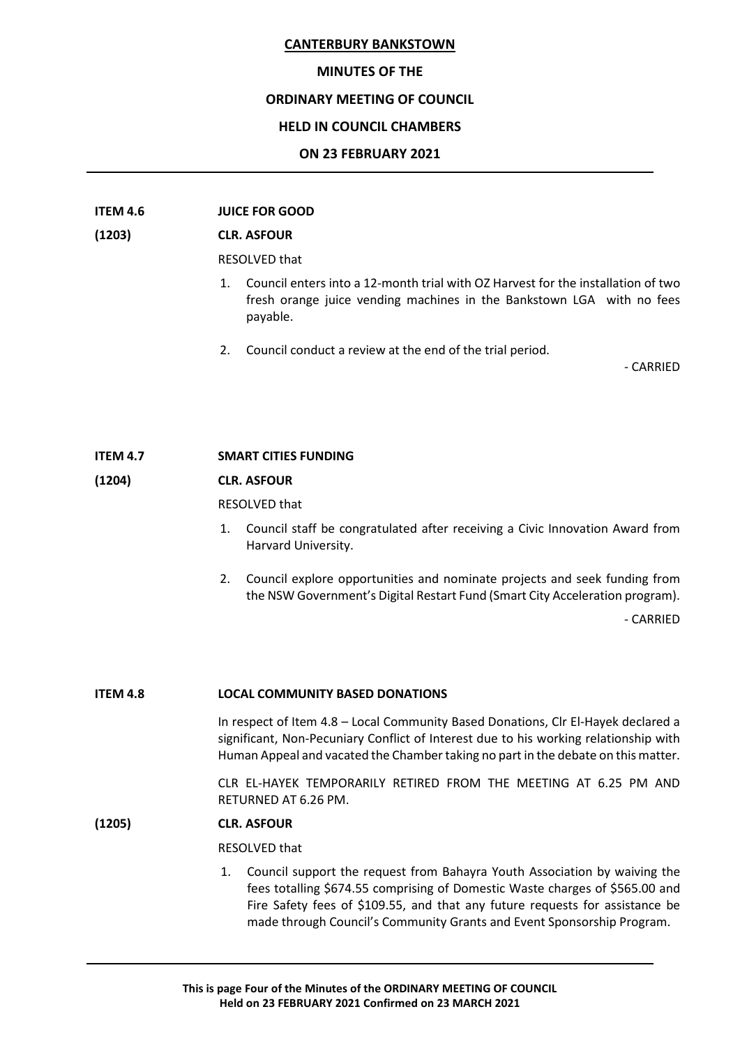#### **MINUTES OF THE**

## **ORDINARY MEETING OF COUNCIL**

## **HELD IN COUNCIL CHAMBERS**

#### **ON 23 FEBRUARY 2021**

# **ITEM 4.6 JUICE FOR GOOD**

#### **(1203) CLR. ASFOUR**

RESOLVED that

- 1. Council enters into a 12-month trial with OZ Harvest for the installation of two fresh orange juice vending machines in the Bankstown LGA with no fees payable.
- 2. Council conduct a review at the end of the trial period.

- CARRIED

#### **ITEM 4.7 SMART CITIES FUNDING**

# **(1204) CLR. ASFOUR**

RESOLVED that

- 1. Council staff be congratulated after receiving a Civic Innovation Award from Harvard University.
- 2. Council explore opportunities and nominate projects and seek funding from the NSW Government's Digital Restart Fund (Smart City Acceleration program).

- CARRIED

#### **ITEM 4.8 LOCAL COMMUNITY BASED DONATIONS**

In respect of Item 4.8 – Local Community Based Donations, Clr El-Hayek declared a significant, Non-Pecuniary Conflict of Interest due to his working relationship with Human Appeal and vacated the Chamber taking no part in the debate on this matter.

CLR EL-HAYEK TEMPORARILY RETIRED FROM THE MEETING AT 6.25 PM AND RETURNED AT 6.26 PM.

## **(1205) CLR. ASFOUR**

RESOLVED that

1. Council support the request from Bahayra Youth Association by waiving the fees totalling \$674.55 comprising of Domestic Waste charges of \$565.00 and Fire Safety fees of \$109.55, and that any future requests for assistance be made through Council's Community Grants and Event Sponsorship Program.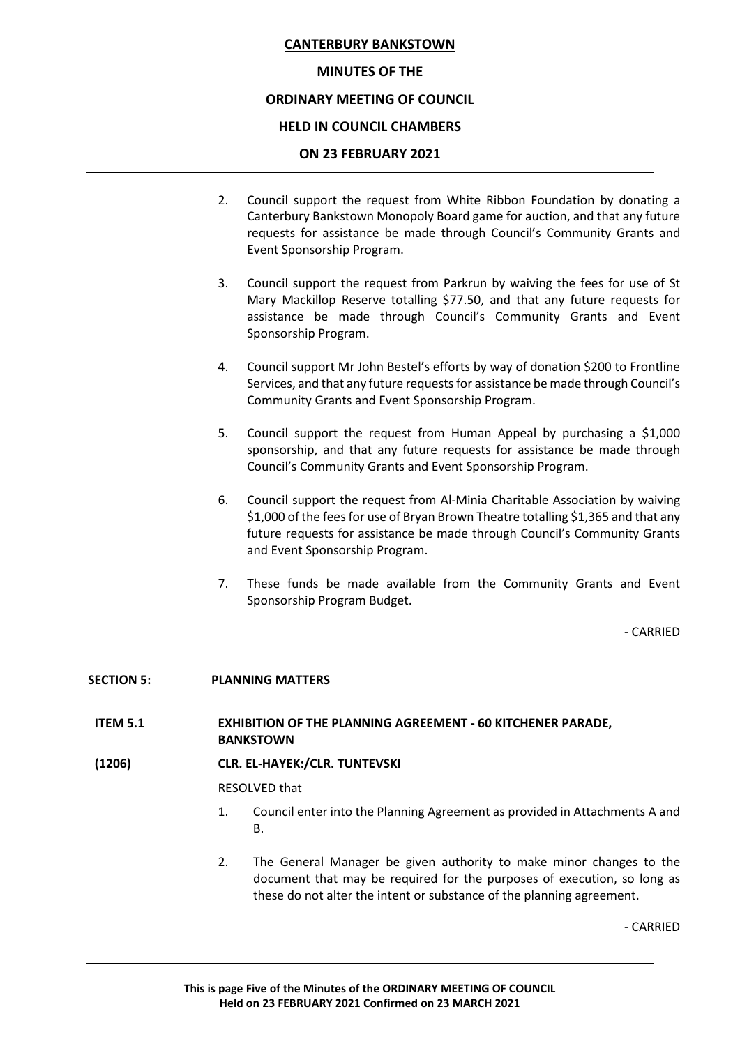# **MINUTES OF THE**

# **ORDINARY MEETING OF COUNCIL**

# **HELD IN COUNCIL CHAMBERS**

# **ON 23 FEBRUARY 2021**

- 2. Council support the request from White Ribbon Foundation by donating a Canterbury Bankstown Monopoly Board game for auction, and that any future requests for assistance be made through Council's Community Grants and Event Sponsorship Program.
- 3. Council support the request from Parkrun by waiving the fees for use of St Mary Mackillop Reserve totalling \$77.50, and that any future requests for assistance be made through Council's Community Grants and Event Sponsorship Program.
- 4. Council support Mr John Bestel's efforts by way of donation \$200 to Frontline Services, and that any future requests for assistance be made through Council's Community Grants and Event Sponsorship Program.
- 5. Council support the request from Human Appeal by purchasing a \$1,000 sponsorship, and that any future requests for assistance be made through Council's Community Grants and Event Sponsorship Program.
- 6. Council support the request from Al-Minia Charitable Association by waiving \$1,000 of the fees for use of Bryan Brown Theatre totalling \$1,365 and that any future requests for assistance be made through Council's Community Grants and Event Sponsorship Program.
- 7. These funds be made available from the Community Grants and Event Sponsorship Program Budget.

- CARRIED

## **SECTION 5: PLANNING MATTERS**

- **ITEM 5.1 EXHIBITION OF THE PLANNING AGREEMENT - 60 KITCHENER PARADE, BANKSTOWN**
- **(1206) CLR. EL-HAYEK:/CLR. TUNTEVSKI**

RESOLVED that

- 1. Council enter into the Planning Agreement as provided in Attachments A and B.
- 2. The General Manager be given authority to make minor changes to the document that may be required for the purposes of execution, so long as these do not alter the intent or substance of the planning agreement.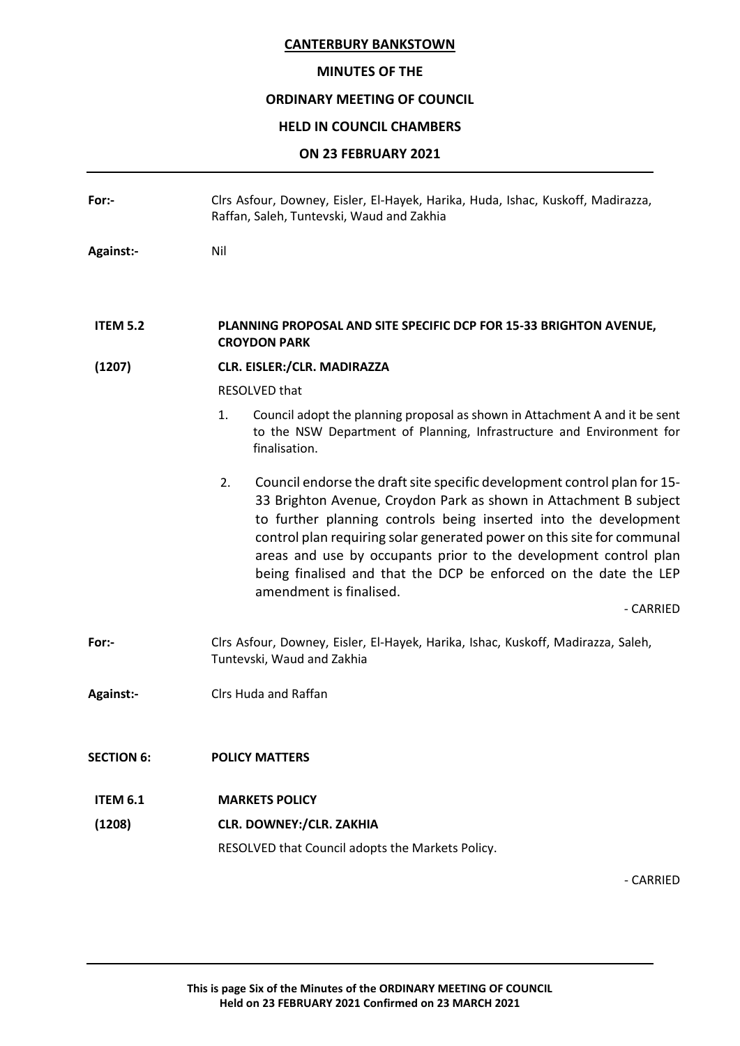# **MINUTES OF THE**

# **ORDINARY MEETING OF COUNCIL**

# **HELD IN COUNCIL CHAMBERS**

# **ON 23 FEBRUARY 2021**

| For:-             | Clrs Asfour, Downey, Eisler, El-Hayek, Harika, Huda, Ishac, Kuskoff, Madirazza,<br>Raffan, Saleh, Tuntevski, Waud and Zakhia                                                                                                                                                                                                                                                                                                                                                      |
|-------------------|-----------------------------------------------------------------------------------------------------------------------------------------------------------------------------------------------------------------------------------------------------------------------------------------------------------------------------------------------------------------------------------------------------------------------------------------------------------------------------------|
| <b>Against:-</b>  | Nil                                                                                                                                                                                                                                                                                                                                                                                                                                                                               |
| <b>ITEM 5.2</b>   | PLANNING PROPOSAL AND SITE SPECIFIC DCP FOR 15-33 BRIGHTON AVENUE,<br><b>CROYDON PARK</b>                                                                                                                                                                                                                                                                                                                                                                                         |
| (1207)            | CLR. EISLER:/CLR. MADIRAZZA                                                                                                                                                                                                                                                                                                                                                                                                                                                       |
|                   | <b>RESOLVED that</b>                                                                                                                                                                                                                                                                                                                                                                                                                                                              |
|                   | Council adopt the planning proposal as shown in Attachment A and it be sent<br>1.<br>to the NSW Department of Planning, Infrastructure and Environment for<br>finalisation.                                                                                                                                                                                                                                                                                                       |
|                   | Council endorse the draft site specific development control plan for 15-<br>2.<br>33 Brighton Avenue, Croydon Park as shown in Attachment B subject<br>to further planning controls being inserted into the development<br>control plan requiring solar generated power on this site for communal<br>areas and use by occupants prior to the development control plan<br>being finalised and that the DCP be enforced on the date the LEP<br>amendment is finalised.<br>- CARRIED |
|                   |                                                                                                                                                                                                                                                                                                                                                                                                                                                                                   |
| For:-             | Clrs Asfour, Downey, Eisler, El-Hayek, Harika, Ishac, Kuskoff, Madirazza, Saleh,<br>Tuntevski, Waud and Zakhia                                                                                                                                                                                                                                                                                                                                                                    |
| <b>Against:-</b>  | Clrs Huda and Raffan                                                                                                                                                                                                                                                                                                                                                                                                                                                              |
| <b>SECTION 6:</b> | <b>POLICY MATTERS</b>                                                                                                                                                                                                                                                                                                                                                                                                                                                             |
| <b>ITEM 6.1</b>   | <b>MARKETS POLICY</b>                                                                                                                                                                                                                                                                                                                                                                                                                                                             |
| (1208)            | <b>CLR. DOWNEY:/CLR. ZAKHIA</b>                                                                                                                                                                                                                                                                                                                                                                                                                                                   |
|                   | RESOLVED that Council adopts the Markets Policy.                                                                                                                                                                                                                                                                                                                                                                                                                                  |
|                   | - CARRIED                                                                                                                                                                                                                                                                                                                                                                                                                                                                         |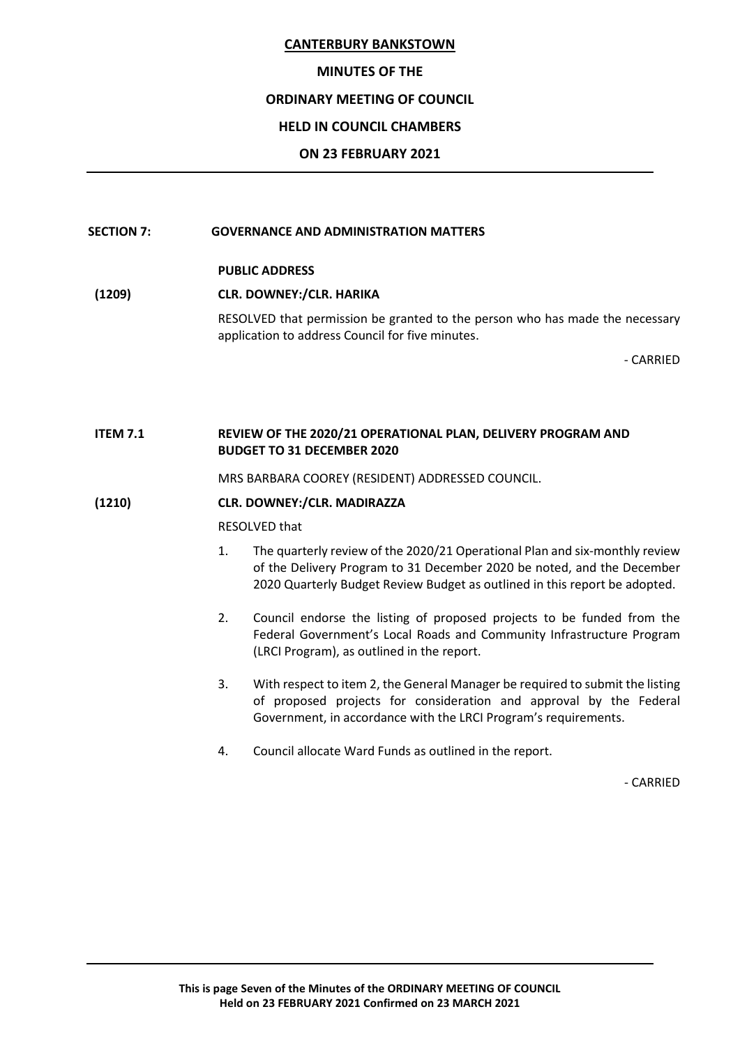## **MINUTES OF THE**

## **ORDINARY MEETING OF COUNCIL**

# **HELD IN COUNCIL CHAMBERS**

## **ON 23 FEBRUARY 2021**

#### **SECTION 7: GOVERNANCE AND ADMINISTRATION MATTERS**

# **PUBLIC ADDRESS**

# **(1209) CLR. DOWNEY:/CLR. HARIKA**

RESOLVED that permission be granted to the person who has made the necessary application to address Council for five minutes.

- CARRIED

## **ITEM 7.1 REVIEW OF THE 2020/21 OPERATIONAL PLAN, DELIVERY PROGRAM AND BUDGET TO 31 DECEMBER 2020**

MRS BARBARA COOREY (RESIDENT) ADDRESSED COUNCIL.

## **(1210) CLR. DOWNEY:/CLR. MADIRAZZA**

RESOLVED that

- 1. The quarterly review of the 2020/21 Operational Plan and six-monthly review of the Delivery Program to 31 December 2020 be noted, and the December 2020 Quarterly Budget Review Budget as outlined in this report be adopted.
- 2. Council endorse the listing of proposed projects to be funded from the Federal Government's Local Roads and Community Infrastructure Program (LRCI Program), as outlined in the report.
- 3. With respect to item 2, the General Manager be required to submit the listing of proposed projects for consideration and approval by the Federal Government, in accordance with the LRCI Program's requirements.
- 4. Council allocate Ward Funds as outlined in the report.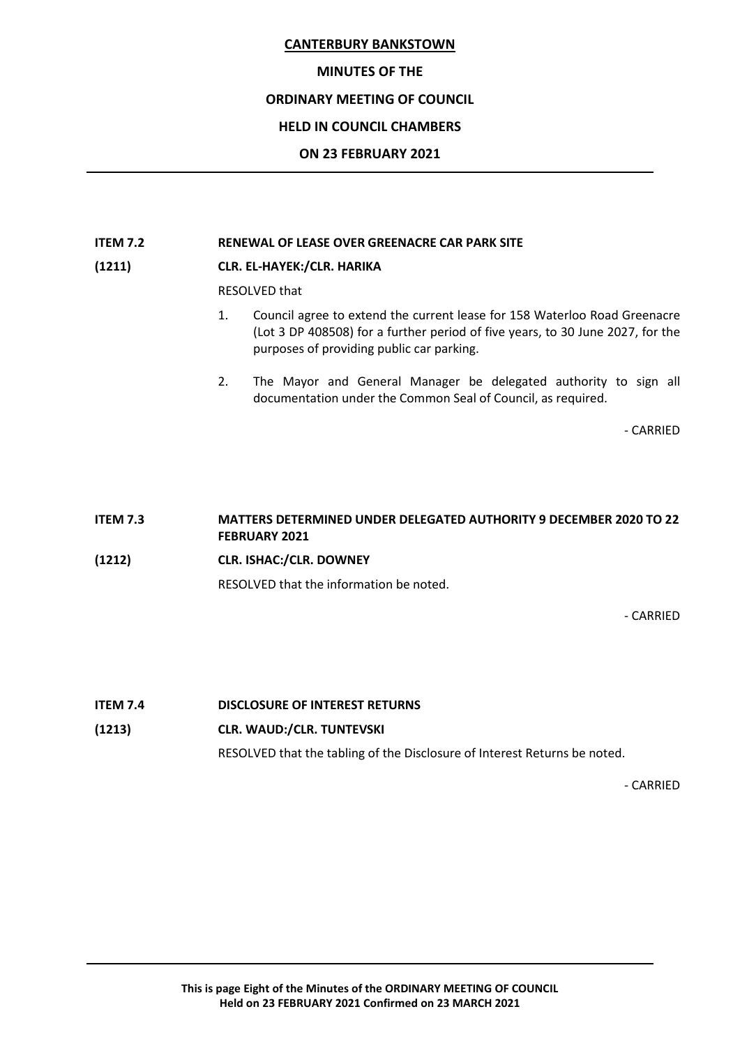## **MINUTES OF THE**

# **ORDINARY MEETING OF COUNCIL**

# **HELD IN COUNCIL CHAMBERS**

## **ON 23 FEBRUARY 2021**

## **ITEM 7.2 RENEWAL OF LEASE OVER GREENACRE CAR PARK SITE**

# **(1211) CLR. EL-HAYEK:/CLR. HARIKA**

RESOLVED that

- 1. Council agree to extend the current lease for 158 Waterloo Road Greenacre (Lot 3 DP 408508) for a further period of five years, to 30 June 2027, for the purposes of providing public car parking.
- 2. The Mayor and General Manager be delegated authority to sign all documentation under the Common Seal of Council, as required.

- CARRIED

# **ITEM 7.3 MATTERS DETERMINED UNDER DELEGATED AUTHORITY 9 DECEMBER 2020 TO 22 FEBRUARY 2021 (1212) CLR. ISHAC:/CLR. DOWNEY** RESOLVED that the information be noted.

- CARRIED

## **ITEM 7.4 DISCLOSURE OF INTEREST RETURNS**

## **(1213) CLR. WAUD:/CLR. TUNTEVSKI**

RESOLVED that the tabling of the Disclosure of Interest Returns be noted.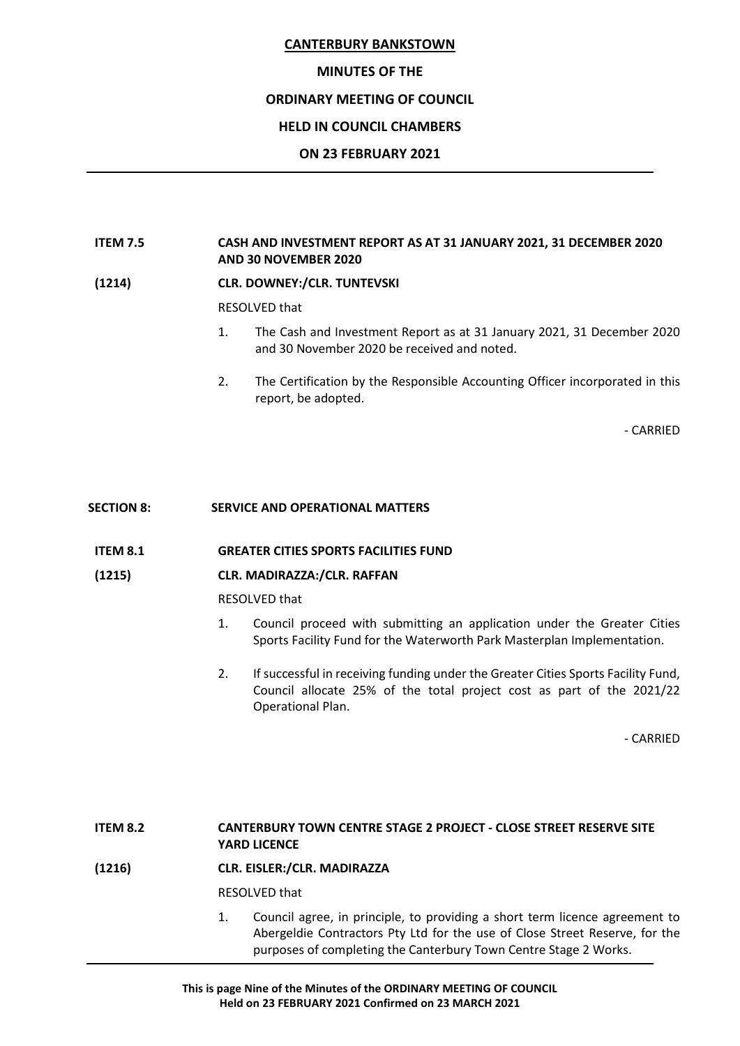## **MINUTES OF THE**

## **ORDINARY MEETING OF COUNCIL**

## **HELD IN COUNCIL CHAMBERS**

#### **ON 23 FEBRUARY 2021**

## **ITEM 7.5 CASH AND INVESTMENT REPORT AS AT 31 JANUARY 2021, 31 DECEMBER 2020 AND 30 NOVEMBER 2020**

## **(1214) CLR. DOWNEY:/CLR. TUNTEVSKI**

RESOLVED that

- 1. The Cash and Investment Report as at 31 January 2021, 31 December 2020 and 30 November 2020 be received and noted.
- 2. The Certification by the Responsible Accounting Officer incorporated in this report, be adopted.

- CARRIED

#### **SECTION 8: SERVICE AND OPERATIONAL MATTERS**

#### **ITEM 8.1 GREATER CITIES SPORTS FACILITIES FUND**

## **(1215) CLR. MADIRAZZA:/CLR. RAFFAN**

#### RESOLVED that

- 1. Council proceed with submitting an application under the Greater Cities Sports Facility Fund for the Waterworth Park Masterplan Implementation.
- 2. If successful in receiving funding under the Greater Cities Sports Facility Fund, Council allocate 25% of the total project cost as part of the 2021/22 Operational Plan.

- CARRIED

# **ITEM 8.2 CANTERBURY TOWN CENTRE STAGE 2 PROJECT - CLOSE STREET RESERVE SITE YARD LICENCE**

## **(1216) CLR. EISLER:/CLR. MADIRAZZA**

RESOLVED that

1. Council agree, in principle, to providing a short term licence agreement to Abergeldie Contractors Pty Ltd for the use of Close Street Reserve, for the purposes of completing the Canterbury Town Centre Stage 2 Works.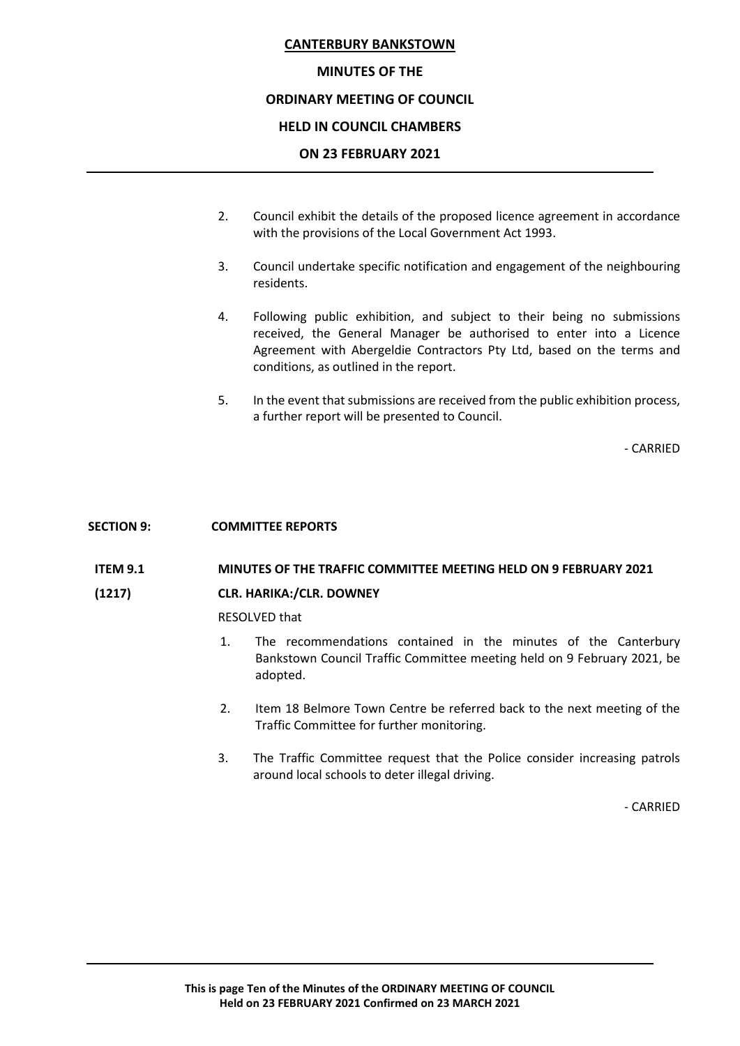# **MINUTES OF THE**

# **ORDINARY MEETING OF COUNCIL**

# **HELD IN COUNCIL CHAMBERS**

# **ON 23 FEBRUARY 2021**

- 2. Council exhibit the details of the proposed licence agreement in accordance with the provisions of the Local Government Act 1993.
- 3. Council undertake specific notification and engagement of the neighbouring residents.
- 4. Following public exhibition, and subject to their being no submissions received, the General Manager be authorised to enter into a Licence Agreement with Abergeldie Contractors Pty Ltd, based on the terms and conditions, as outlined in the report.
- 5. In the event that submissions are received from the public exhibition process, a further report will be presented to Council.

- CARRIED

## **SECTION 9: COMMITTEE REPORTS**

## **ITEM 9.1 MINUTES OF THE TRAFFIC COMMITTEE MEETING HELD ON 9 FEBRUARY 2021**

## **(1217) CLR. HARIKA:/CLR. DOWNEY**

RESOLVED that

- 1. The recommendations contained in the minutes of the Canterbury Bankstown Council Traffic Committee meeting held on 9 February 2021, be adopted.
- 2. Item 18 Belmore Town Centre be referred back to the next meeting of the Traffic Committee for further monitoring.
- 3. The Traffic Committee request that the Police consider increasing patrols around local schools to deter illegal driving.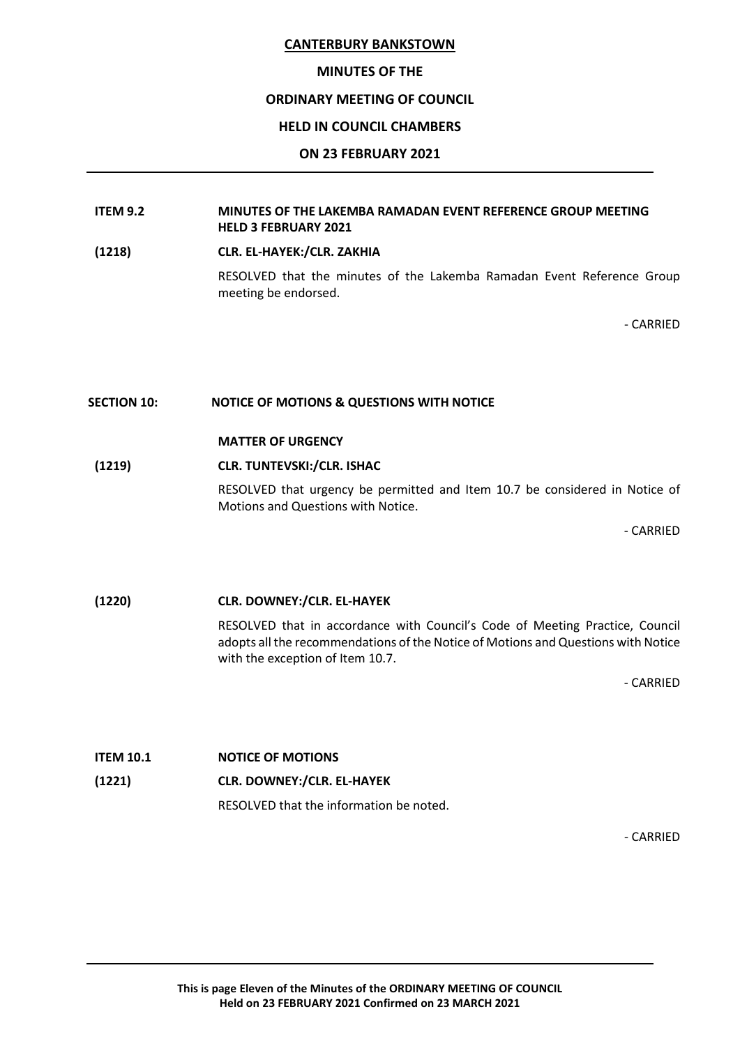#### **MINUTES OF THE**

#### **ORDINARY MEETING OF COUNCIL**

#### **HELD IN COUNCIL CHAMBERS**

#### **ON 23 FEBRUARY 2021**

#### **ITEM 9.2 MINUTES OF THE LAKEMBA RAMADAN EVENT REFERENCE GROUP MEETING HELD 3 FEBRUARY 2021**

**(1218) CLR. EL-HAYEK:/CLR. ZAKHIA**

RESOLVED that the minutes of the Lakemba Ramadan Event Reference Group meeting be endorsed.

- CARRIED

#### **SECTION 10: NOTICE OF MOTIONS & QUESTIONS WITH NOTICE**

#### **MATTER OF URGENCY**

#### **(1219) CLR. TUNTEVSKI:/CLR. ISHAC**

RESOLVED that urgency be permitted and Item 10.7 be considered in Notice of Motions and Questions with Notice.

- CARRIED

#### **(1220) CLR. DOWNEY:/CLR. EL-HAYEK**

RESOLVED that in accordance with Council's Code of Meeting Practice, Council adopts all the recommendations of the Notice of Motions and Questions with Notice with the exception of Item 10.7.

- CARRIED

# **ITEM 10.1 NOTICE OF MOTIONS (1221) CLR. DOWNEY:/CLR. EL-HAYEK** RESOLVED that the information be noted.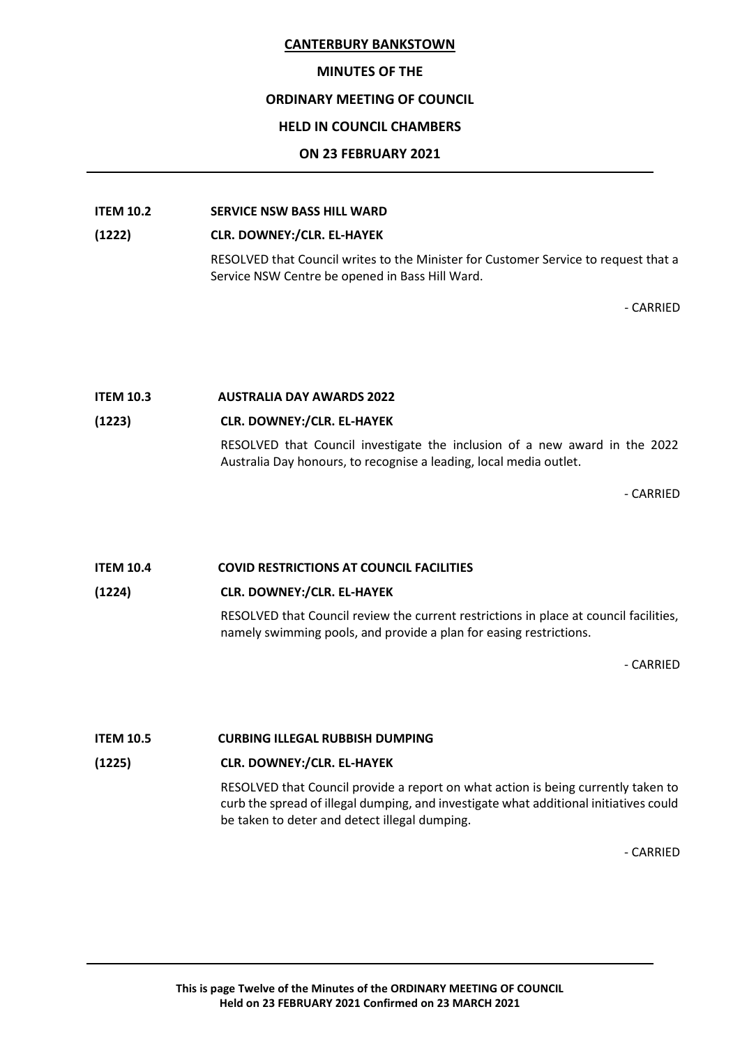#### **MINUTES OF THE**

#### **ORDINARY MEETING OF COUNCIL**

## **HELD IN COUNCIL CHAMBERS**

#### **ON 23 FEBRUARY 2021**

## **ITEM 10.2 SERVICE NSW BASS HILL WARD**

#### **(1222) CLR. DOWNEY:/CLR. EL-HAYEK**

RESOLVED that Council writes to the Minister for Customer Service to request that a Service NSW Centre be opened in Bass Hill Ward.

- CARRIED

# **ITEM 10.3 AUSTRALIA DAY AWARDS 2022**

## **(1223) CLR. DOWNEY:/CLR. EL-HAYEK**

RESOLVED that Council investigate the inclusion of a new award in the 2022 Australia Day honours, to recognise a leading, local media outlet.

- CARRIED

## **ITEM 10.4 COVID RESTRICTIONS AT COUNCIL FACILITIES**

## **(1224) CLR. DOWNEY:/CLR. EL-HAYEK**

RESOLVED that Council review the current restrictions in place at council facilities, namely swimming pools, and provide a plan for easing restrictions.

- CARRIED

## **ITEM 10.5 CURBING ILLEGAL RUBBISH DUMPING**

## **(1225) CLR. DOWNEY:/CLR. EL-HAYEK**

RESOLVED that Council provide a report on what action is being currently taken to curb the spread of illegal dumping, and investigate what additional initiatives could be taken to deter and detect illegal dumping.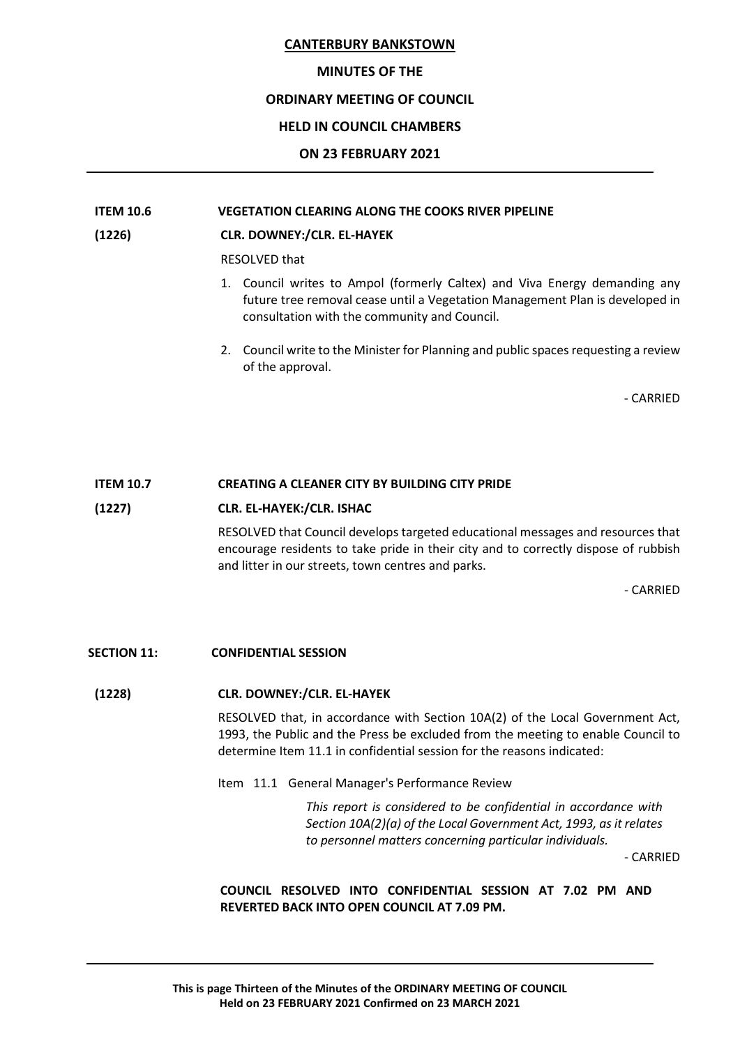#### **MINUTES OF THE**

## **ORDINARY MEETING OF COUNCIL**

## **HELD IN COUNCIL CHAMBERS**

#### **ON 23 FEBRUARY 2021**

## **ITEM 10.6 VEGETATION CLEARING ALONG THE COOKS RIVER PIPELINE**

#### **(1226) CLR. DOWNEY:/CLR. EL-HAYEK**

RESOLVED that

- 1. Council writes to Ampol (formerly Caltex) and Viva Energy demanding any future tree removal cease until a Vegetation Management Plan is developed in consultation with the community and Council.
- 2. Council write to the Minister for Planning and public spaces requesting a review of the approval.

- CARRIED

## **ITEM 10.7 CREATING A CLEANER CITY BY BUILDING CITY PRIDE**

#### **(1227) CLR. EL-HAYEK:/CLR. ISHAC**

RESOLVED that Council develops targeted educational messages and resources that encourage residents to take pride in their city and to correctly dispose of rubbish and litter in our streets, town centres and parks.

- CARRIED

#### **SECTION 11: CONFIDENTIAL SESSION**

## **(1228) CLR. DOWNEY:/CLR. EL-HAYEK**

RESOLVED that, in accordance with Section 10A(2) of the Local Government Act, 1993, the Public and the Press be excluded from the meeting to enable Council to determine Item 11.1 in confidential session for the reasons indicated:

Item 11.1 General Manager's Performance Review

*This report is considered to be confidential in accordance with Section 10A(2)(a) of the Local Government Act, 1993, as it relates to personnel matters concerning particular individuals.*

- CARRIED

**COUNCIL RESOLVED INTO CONFIDENTIAL SESSION AT 7.02 PM AND REVERTED BACK INTO OPEN COUNCIL AT 7.09 PM.**